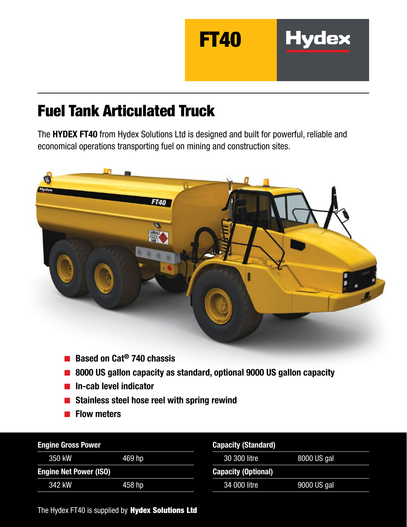

## Fuel Tank Articulated Truck

The HYDEX FT40 from Hydex Solutions Ltd is designed and built for powerful, reliable and economical operations transporting fuel on mining and construction sites.



- Based on Cat<sup>®</sup> 740 chassis
- 8000 US gallon capacity as standard, optional 9000 US gallon capacity
- In-cab level indicator
- Stainless steel hose reel with spring rewind
- Flow meters

| <b>Engine Gross Power</b>     |        | <b>Capacity (Standard)</b> |             |
|-------------------------------|--------|----------------------------|-------------|
| 350 kW                        | 469 hp | 30 300 litre               | 8000 US gal |
| <b>Engine Net Power (ISO)</b> |        | <b>Capacity (Optional)</b> |             |
| 342 kW                        | 458 hp | 34 000 litre               | 9000 US gal |

The Hydex FT40 is supplied by Hydex Solutions Ltd